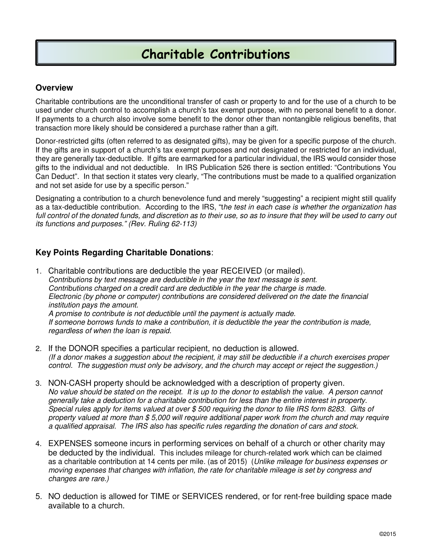# Charitable Contributions

#### **Overview**

Charitable contributions are the unconditional transfer of cash or property to and for the use of a church to be used under church control to accomplish a church's tax exempt purpose, with no personal benefit to a donor. If payments to a church also involve some benefit to the donor other than nontangible religious benefits, that transaction more likely should be considered a purchase rather than a gift.

Donor-restricted gifts (often referred to as designated gifts), may be given for a specific purpose of the church. If the gifts are in support of a church's tax exempt purposes and not designated or restricted for an individual, they are generally tax-deductible. If gifts are earmarked for a particular individual, the IRS would consider those gifts to the individual and not deductible. In IRS Publication 526 there is section entitled: "Contributions You Can Deduct". In that section it states very clearly, "The contributions must be made to a qualified organization and not set aside for use by a specific person."

Designating a contribution to a church benevolence fund and merely "suggesting" a recipient might still qualify as a tax-deductible contribution. According to the IRS, "the test in each case is whether the organization has full control of the donated funds, and discretion as to their use, so as to insure that they will be used to carry out its functions and purposes." (Rev. Ruling 62-113)

## **Key Points Regarding Charitable Donations**:

- 1. Charitable contributions are deductible the year RECEIVED (or mailed). Contributions by text message are deductible in the year the text message is sent. Contributions charged on a credit card are deductible in the year the charge is made. Electronic (by phone or computer) contributions are considered delivered on the date the financial institution pays the amount. A promise to contribute is not deductible until the payment is actually made. If someone borrows funds to make a contribution, it is deductible the year the contribution is made, regardless of when the loan is repaid.
- 2. If the DONOR specifies a particular recipient, no deduction is allowed. (If a donor makes a suggestion about the recipient, it may still be deductible if a church exercises proper control. The suggestion must only be advisory, and the church may accept or reject the suggestion.)
- 3. NON-CASH property should be acknowledged with a description of property given. No value should be stated on the receipt. It is up to the donor to establish the value. A person cannot generally take a deduction for a charitable contribution for less than the entire interest in property. Special rules apply for items valued at over \$ 500 requiring the donor to file IRS form 8283. Gifts of property valued at more than \$ 5,000 will require additional paper work from the church and may require a qualified appraisal. The IRS also has specific rules regarding the donation of cars and stock.
- 4. EXPENSES someone incurs in performing services on behalf of a church or other charity may be deducted by the individual. This includes mileage for church-related work which can be claimed as a charitable contribution at 14 cents per mile. (as of 2015) (Unlike mileage for business expenses or moving expenses that changes with inflation, the rate for charitable mileage is set by congress and changes are rare.)
- 5. NO deduction is allowed for TIME or SERVICES rendered, or for rent-free building space made available to a church.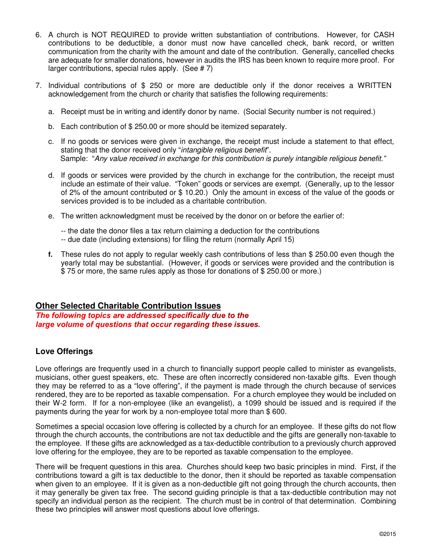- 6. A church is NOT REQUIRED to provide written substantiation of contributions. However, for CASH contributions to be deductible, a donor must now have cancelled check, bank record, or written communication from the charity with the amount and date of the contribution. Generally, cancelled checks are adequate for smaller donations, however in audits the IRS has been known to require more proof. For larger contributions, special rules apply. (See # 7)
- 7. Individual contributions of \$ 250 or more are deductible only if the donor receives a WRITTEN acknowledgement from the church or charity that satisfies the following requirements:
	- a. Receipt must be in writing and identify donor by name. (Social Security number is not required.)
	- b. Each contribution of \$ 250.00 or more should be itemized separately.
	- c. If no goods or services were given in exchange, the receipt must include a statement to that effect, stating that the donor received only "intangible religious benefit". Sample: "Any value received in exchange for this contribution is purely intangible religious benefit."
	- d. If goods or services were provided by the church in exchange for the contribution, the receipt must include an estimate of their value. "Token" goods or services are exempt. (Generally, up to the lessor of 2% of the amount contributed or \$ 10.20.) Only the amount in excess of the value of the goods or services provided is to be included as a charitable contribution.
	- e. The written acknowledgment must be received by the donor on or before the earlier of:
		- -- the date the donor files a tax return claiming a deduction for the contributions -- due date (including extensions) for filing the return (normally April 15)
	- **f.** These rules do not apply to regular weekly cash contributions of less than \$ 250.00 even though the yearly total may be substantial. (However, if goods or services were provided and the contribution is \$ 75 or more, the same rules apply as those for donations of \$ 250.00 or more.)

#### **Other Selected Charitable Contribution Issues**

The following topics are addressed specifically due to the large volume of questions that occur regarding these issues.

#### **Love Offerings**

Love offerings are frequently used in a church to financially support people called to minister as evangelists, musicians, other guest speakers, etc. These are often incorrectly considered non-taxable gifts. Even though they may be referred to as a "love offering", if the payment is made through the church because of services rendered, they are to be reported as taxable compensation. For a church employee they would be included on their W-2 form. If for a non-employee (like an evangelist), a 1099 should be issued and is required if the payments during the year for work by a non-employee total more than \$ 600.

Sometimes a special occasion love offering is collected by a church for an employee. If these gifts do not flow through the church accounts, the contributions are not tax deductible and the gifts are generally non-taxable to the employee. If these gifts are acknowledged as a tax-deductible contribution to a previously church approved love offering for the employee, they are to be reported as taxable compensation to the employee.

There will be frequent questions in this area. Churches should keep two basic principles in mind. First, if the contributions toward a gift is tax deductible to the donor, then it should be reported as taxable compensation when given to an employee. If it is given as a non-deductible gift not going through the church accounts, then it may generally be given tax free. The second guiding principle is that a tax-deductible contribution may not specify an individual person as the recipient. The church must be in control of that determination. Combining these two principles will answer most questions about love offerings.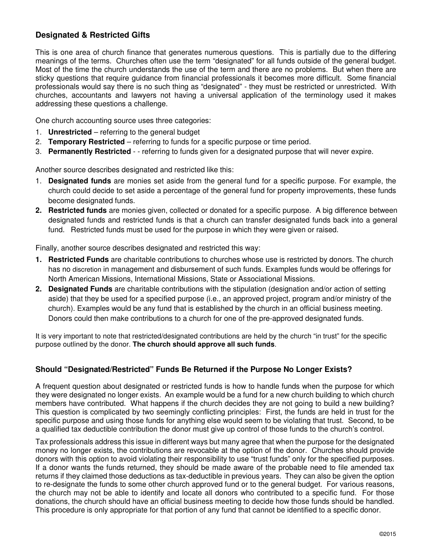### **Designated & Restricted Gifts**

This is one area of church finance that generates numerous questions. This is partially due to the differing meanings of the terms. Churches often use the term "designated" for all funds outside of the general budget. Most of the time the church understands the use of the term and there are no problems. But when there are sticky questions that require guidance from financial professionals it becomes more difficult. Some financial professionals would say there is no such thing as "designated" - they must be restricted or unrestricted. With churches, accountants and lawyers not having a universal application of the terminology used it makes addressing these questions a challenge.

One church accounting source uses three categories:

- 1. **Unrestricted** referring to the general budget
- 2. **Temporary Restricted** referring to funds for a specific purpose or time period.
- 3. **Permanently Restricted** - referring to funds given for a designated purpose that will never expire.

Another source describes designated and restricted like this:

- 1. **Designated funds** are monies set aside from the general fund for a specific purpose. For example, the church could decide to set aside a percentage of the general fund for property improvements, these funds become designated funds.
- **2. Restricted funds** are monies given, collected or donated for a specific purpose. A big difference between designated funds and restricted funds is that a church can transfer designated funds back into a general fund. Restricted funds must be used for the purpose in which they were given or raised.

Finally, another source describes designated and restricted this way:

- **1. Restricted Funds** are charitable contributions to churches whose use is restricted by donors. The church has no discretion in management and disbursement of such funds. Examples funds would be offerings for North American Missions, International Missions, State or Associational Missions.
- **2. Designated Funds** are charitable contributions with the stipulation (designation and/or action of setting aside) that they be used for a specified purpose (i.e., an approved project, program and/or ministry of the church). Examples would be any fund that is established by the church in an official business meeting. Donors could then make contributions to a church for one of the pre-approved designated funds.

It is very important to note that restricted/designated contributions are held by the church "in trust" for the specific purpose outlined by the donor. **The church should approve all such funds**.

#### **Should "Designated/Restricted" Funds Be Returned if the Purpose No Longer Exists?**

A frequent question about designated or restricted funds is how to handle funds when the purpose for which they were designated no longer exists. An example would be a fund for a new church building to which church members have contributed. What happens if the church decides they are not going to build a new building? This question is complicated by two seemingly conflicting principles: First, the funds are held in trust for the specific purpose and using those funds for anything else would seem to be violating that trust. Second, to be a qualified tax deductible contribution the donor must give up control of those funds to the church's control.

Tax professionals address this issue in different ways but many agree that when the purpose for the designated money no longer exists, the contributions are revocable at the option of the donor. Churches should provide donors with this option to avoid violating their responsibility to use "trust funds" only for the specified purposes. If a donor wants the funds returned, they should be made aware of the probable need to file amended tax returns if they claimed those deductions as tax-deductible in previous years. They can also be given the option to re-designate the funds to some other church approved fund or to the general budget. For various reasons, the church may not be able to identify and locate all donors who contributed to a specific fund. For those donations, the church should have an official business meeting to decide how those funds should be handled. This procedure is only appropriate for that portion of any fund that cannot be identified to a specific donor.